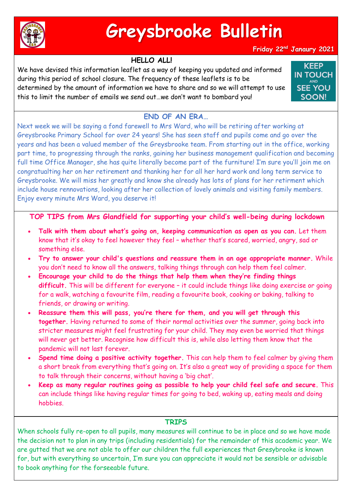

# **Greysbrooke Bulletin**

### **Friday 22nd Janaury 2021**

## **HELLO ALL!**

We have devised this information leaflet as a way of keeping you updated and informed during this period of school closure. The frequency of these leaflets is to be determined by the amount of information we have to share and so we will attempt to use this to limit the number of emails we send out…we don't want to bombard you!

**KEEP IN TOUCH SEE YOU SOON!** 

# **END OF AN ERA…**

Next week we will be saying a fond farewell to Mrs Ward, who will be retiring after working at Greysbrooke Primary School for over 24 years! She has seen staff and pupils come and go over the years and has been a valued member of the Greysbrooke team. From starting out in the office, working part time, to progressing through the ranks, gaining her business management qualification and becoming full time Office Manager, she has quite literally become part of the furniture! I'm sure you'll join me on congratualting her on her retirement and thanking her for all her hard work and long term service to Greysbrooke. We will miss her greatly and know she already has lots of plans for her retirment which include house rennovations, looking after her collection of lovely animals and visiting family members. Enjoy every minute Mrs Ward, you deserve it!

**TOP TIPS from Mrs Glandfield for supporting your child's well-being during lockdown** 

- **Talk with them about what's going on, keeping communication as open as you can.** Let them know that it's okay to feel however they feel – whether that's scared, worried, angry, sad or something else.
- **Try to answer your child's questions and reassure them in an age appropriate manner.** While you don't need to know all the answers, talking things through can help them feel calmer.
- **Encourage your child to do the things that help them when they're finding things difficult.** This will be different for everyone – it could include things like doing exercise or going for a walk, watching a favourite film, reading a favourite book, cooking or baking, talking to friends, or drawing or writing.
- **Reassure them this will pass, you're there for them, and you will get through this together.** Having returned to some of their normal activities over the summer, going back into stricter measures might feel frustrating for your child. They may even be worried that things will never get better. Recognise how difficult this is, while also letting them know that the pandemic will not last forever.
- **Spend time doing a positive activity together.** This can help them to feel calmer by giving them a short break from everything that's going on. It's also a great way of providing a space for them to talk through their concerns, without having a 'big chat'.
- **Keep as many regular routines going as possible to help your child feel safe and secure.** This can include things like having regular times for going to bed, waking up, eating meals and doing hobbies.

### **TRIPS**

When schools fully re-open to all pupils, many measures will continue to be in place and so we have made the decision not to plan in any trips (including residentials) for the remainder of this academic year. We are gutted that we are not able to offer our children the full experiences that Gresybrooke is known for, but with everything so uncertain, I'm sure you can appreciate it would not be sensible or advisable to book anything for the forseeable future.